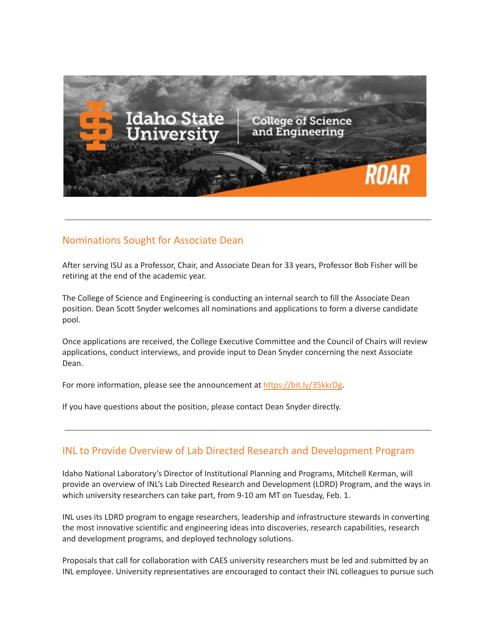

#### Nominations Sought for Associate Dean

After serving ISU as a Professor, Chair, and Associate Dean for 33 years, Professor Bob Fisher will be retiring at the end of the academic year.

The College of Science and Engineering is conducting an internal search to fill the Associate Dean position. Dean Scott Snyder welcomes all nominations and applications to form a diverse candidate pool.

Once applications are received, the College Executive Committee and the Council of Chairs will review applications, conduct interviews, and provide input to Dean Snyder concerning the next Associate Dean.

For more information, please see the announcement at <https://bit.ly/35kkrDg>.

If you have questions about the position, please contact Dean Snyder directly.

#### INL to Provide Overview of Lab Directed Research and Development Program

Idaho National Laboratory's Director of Institutional Planning and Programs, Mitchell Kerman, will provide an overview of INL's Lab Directed Research and Development (LDRD) Program, and the ways in which university researchers can take part, from 9-10 am MT on Tuesday, Feb. 1.

INL uses its LDRD program to engage researchers, leadership and infrastructure stewards in converting the most innovative scientific and engineering ideas into discoveries, research capabilities, research and development programs, and deployed technology solutions.

Proposals that call for collaboration with CAES university researchers must be led and submitted by an INL employee. University representatives are encouraged to contact their INL colleagues to pursue such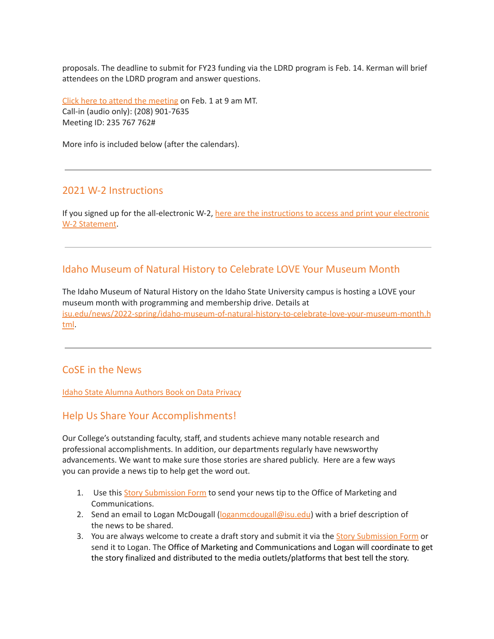proposals. The deadline to submit for FY23 funding via the LDRD program is Feb. 14. Kerman will brief attendees on the LDRD program and answer questions.

Click here to attend the [meeting](https://teams.microsoft.com/l/meetup-join/19%3ameeting_NTc4NTQ5NzMtMDk3YS00ZWZjLWJjYzQtNzUzYmRjMWM3YzY3%40thread.v2/0?context=%7b%22Tid%22%3a%224cf464b7-869a-4236-8da2-a98566485554%22%2c%22Oid%22%3a%220b570c82-b906-448f-87f4-c21eac0f63e2%22%7d) on Feb. 1 at 9 am MT. Call-in (audio only): (208) 901-7635 Meeting ID: 235 767 762#

More info is included below (after the calendars).

#### 2021 W-2 Instructions

If you signed up for the all-electronic W-2, here are the [instructions](https://myemail.constantcontact.com/2021-W-2-Instructions.html?soid=1127399030149&aid=JsTqITJwRd8) to access and print your electronic W-2 [Statement](https://myemail.constantcontact.com/2021-W-2-Instructions.html?soid=1127399030149&aid=JsTqITJwRd8).

## Idaho Museum of Natural History to Celebrate LOVE Your Museum Month

The Idaho Museum of Natural History on the Idaho State University campus is hosting a LOVE your museum month with programming and membership drive. Details at [isu.edu/news/2022-spring/idaho-museum-of-natural-history-to-celebrate-love-your-museum-month.h](https://www.isu.edu/news/2022-spring/idaho-museum-of-natural-history-to-celebrate-love-your-museum-month.html) [tml](https://www.isu.edu/news/2022-spring/idaho-museum-of-natural-history-to-celebrate-love-your-museum-month.html).

### CoSE in the News

Idaho State Alumna [Authors](https://www.isu.edu/news/2022-spring/idaho-state-alumna-authors-book-on-data-privacy.html) Book on Data Privacy

### Help Us Share Your Accomplishments!

Our College's outstanding faculty, staff, and students achieve many notable research and professional accomplishments. In addition, our departments regularly have newsworthy advancements. We want to make sure those stories are shared publicly. Here are a few ways you can provide a news tip to help get the word out.

- 1. Use this Story [Submission](https://www.isu.edu/news/story-form/) Form to send your news tip to the Office of Marketing and Communications.
- 2. Send an email to Logan McDougall ([loganmcdougall@isu.edu](mailto:loganmcdougall@isu.edu)) with a brief description of the news to be shared.
- 3. You are always welcome to create a draft story and submit it via the **Story [Submission](https://www.isu.edu/news/story-form/) Form** or send it to Logan. The Office of Marketing and Communications and Logan will coordinate to get the story finalized and distributed to the media outlets/platforms that best tell the story.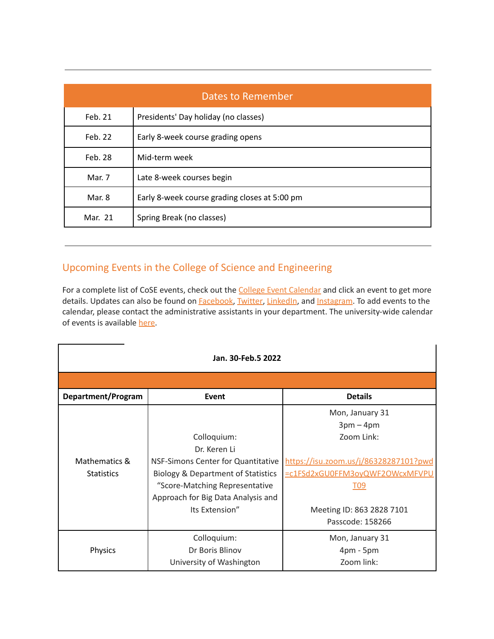| Dates to Remember |                                               |  |
|-------------------|-----------------------------------------------|--|
| Feb. 21           | Presidents' Day holiday (no classes)          |  |
| Feb. 22           | Early 8-week course grading opens             |  |
| Feb. 28           | Mid-term week                                 |  |
| Mar. 7            | Late 8-week courses begin                     |  |
| Mar. 8            | Early 8-week course grading closes at 5:00 pm |  |
| Mar. 21           | Spring Break (no classes)                     |  |

# Upcoming Events in the College of Science and Engineering

For a complete list of CoSE events, check out the College Event [Calendar](https://isu.edu/cse/calendar/) and click an event to get more details. Updates can also be found on [Facebook,](https://www.facebook.com/IdahoStateUCoSE) [Twitter,](https://twitter.com/IdahoStateUCoSE) [LinkedIn](https://www.linkedin.com/company/idaho-state-university-college-of-science-and-engineering), and [Instagram](https://www.instagram.com/idahostateucose/). To add events to the calendar, please contact the administrative assistants in your department. The university-wide calendar of events is available [here](https://www.isu.edu/calendar/).

| Jan. 30-Feb.5 2022 |                                               |                                       |  |
|--------------------|-----------------------------------------------|---------------------------------------|--|
|                    |                                               |                                       |  |
| Department/Program | Event                                         | <b>Details</b>                        |  |
|                    |                                               | Mon, January 31                       |  |
|                    |                                               | $3pm - 4pm$                           |  |
|                    | Colloquium:                                   | Zoom Link:                            |  |
|                    | Dr. Keren Li                                  |                                       |  |
| Mathematics &      | NSF-Simons Center for Quantitative            | https://isu.zoom.us/j/86328287101?pwd |  |
| <b>Statistics</b>  | <b>Biology &amp; Department of Statistics</b> | =c1FSd2xGU0FFM3oyQWF2OWcxMFVPU        |  |
|                    | "Score-Matching Representative                | <u>T09</u>                            |  |
|                    | Approach for Big Data Analysis and            |                                       |  |
|                    | Its Extension"                                | Meeting ID: 863 2828 7101             |  |
|                    |                                               | Passcode: 158266                      |  |
|                    | Colloquium:                                   | Mon, January 31                       |  |
| Physics            | Dr Boris Blinov                               | $4pm - 5pm$                           |  |
|                    | University of Washington                      | Zoom link:                            |  |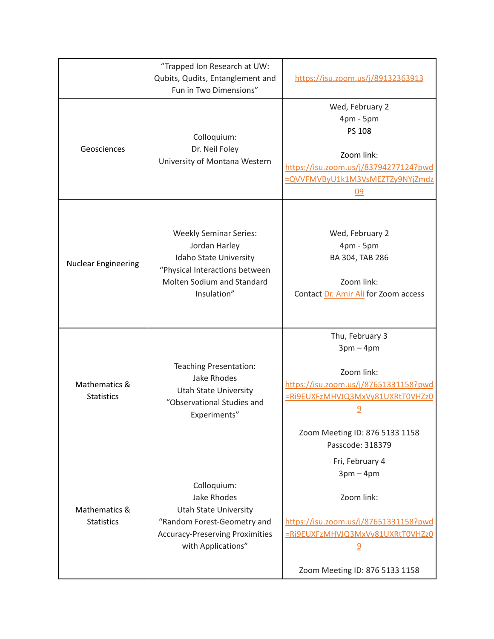|                                    | "Trapped Ion Research at UW:<br>Qubits, Qudits, Entanglement and<br>Fun in Two Dimensions"                                                                       | https://isu.zoom.us/j/89132363913                                                                                                                                                           |
|------------------------------------|------------------------------------------------------------------------------------------------------------------------------------------------------------------|---------------------------------------------------------------------------------------------------------------------------------------------------------------------------------------------|
| Geosciences                        | Colloquium:<br>Dr. Neil Foley<br>University of Montana Western                                                                                                   | Wed, February 2<br>4pm - 5pm<br>PS 108<br>Zoom link:<br>https://isu.zoom.us/j/83794277124?pwd<br>=QVVFMVByU1k1M3VsMEZTZy9NYjZmdz<br>09                                                      |
| <b>Nuclear Engineering</b>         | <b>Weekly Seminar Series:</b><br>Jordan Harley<br>Idaho State University<br>"Physical Interactions between<br>Molten Sodium and Standard<br>Insulation"          | Wed, February 2<br>4pm - 5pm<br>BA 304, TAB 286<br>Zoom link:<br>Contact Dr. Amir Ali for Zoom access                                                                                       |
| Mathematics &<br><b>Statistics</b> | Teaching Presentation:<br><b>Jake Rhodes</b><br>Utah State University<br>"Observational Studies and<br>Experiments"                                              | Thu, February 3<br>$3pm - 4pm$<br>Zoom link:<br>https://isu.zoom.us/j/87651331158?pwd<br>=Ri9EUXFzMHVJQ3MxVy81UXRtT0VHZz0<br><u>9</u><br>Zoom Meeting ID: 876 5133 1158<br>Passcode: 318379 |
| Mathematics &<br><b>Statistics</b> | Colloquium:<br><b>Jake Rhodes</b><br><b>Utah State University</b><br>"Random Forest-Geometry and<br><b>Accuracy-Preserving Proximities</b><br>with Applications" | Fri, February 4<br>$3pm - 4pm$<br>Zoom link:<br>https://isu.zoom.us/j/87651331158?pwd<br>=Ri9EUXFzMHVJQ3MxVy81UXRtT0VHZz0<br>$\overline{6}$<br>Zoom Meeting ID: 876 5133 1158               |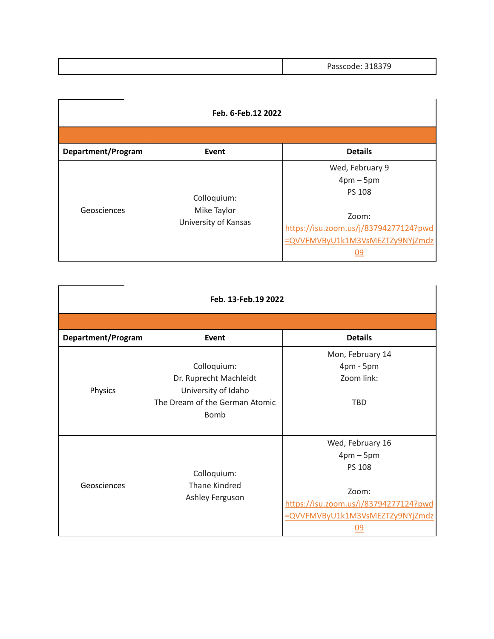| 219270<br>$D - 222$<br><u>JIUJIJ</u> |
|--------------------------------------|
|--------------------------------------|

| Feb. 6-Feb. 12 2022 |                                                    |                                                                                   |  |
|---------------------|----------------------------------------------------|-----------------------------------------------------------------------------------|--|
|                     |                                                    |                                                                                   |  |
| Department/Program  | Event                                              | <b>Details</b>                                                                    |  |
| Geosciences         | Colloquium:<br>Mike Taylor<br>University of Kansas | Wed, February 9<br>$4pm-5pm$<br><b>PS 108</b>                                     |  |
|                     |                                                    | Zoom:<br>https://isu.zoom.us/j/83794277124?pwd<br>=QVVFMVByU1k1M3VsMEZTZy9NYjZmdz |  |

| Feb. 13-Feb.19 2022 |                                                                                                        |                                                                                                                                                  |  |
|---------------------|--------------------------------------------------------------------------------------------------------|--------------------------------------------------------------------------------------------------------------------------------------------------|--|
|                     |                                                                                                        |                                                                                                                                                  |  |
| Department/Program  | Event                                                                                                  | <b>Details</b>                                                                                                                                   |  |
| Physics             | Colloquium:<br>Dr. Ruprecht Machleidt<br>University of Idaho<br>The Dream of the German Atomic<br>Bomb | Mon, February 14<br>4pm - 5pm<br>Zoom link:<br><b>TBD</b>                                                                                        |  |
| Geosciences         | Colloquium:<br>Thane Kindred<br>Ashley Ferguson                                                        | Wed, February 16<br>$4pm-5pm$<br><b>PS 108</b><br>Zoom:<br>https://isu.zoom.us/j/83794277124?pwd<br>=QVVFMVByU1k1M3VsMEZTZy9NYjZmdz<br><u>09</u> |  |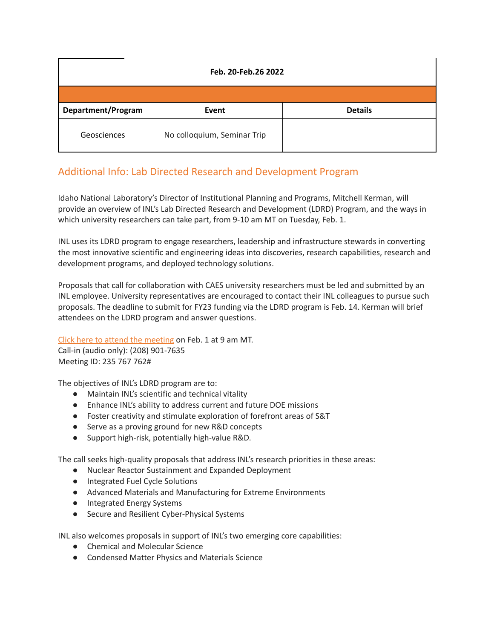| Feb. 20-Feb.26 2022 |                             |                |  |  |
|---------------------|-----------------------------|----------------|--|--|
|                     |                             |                |  |  |
| Department/Program  | Event                       | <b>Details</b> |  |  |
| Geosciences         | No colloquium, Seminar Trip |                |  |  |

# Additional Info: Lab Directed Research and Development Program

Idaho National Laboratory's Director of Institutional Planning and Programs, Mitchell Kerman, will provide an overview of INL's Lab Directed Research and Development (LDRD) Program, and the ways in which university researchers can take part, from 9-10 am MT on Tuesday, Feb. 1.

INL uses its LDRD program to engage researchers, leadership and infrastructure stewards in converting the most innovative scientific and engineering ideas into discoveries, research capabilities, research and development programs, and deployed technology solutions.

Proposals that call for collaboration with CAES university researchers must be led and submitted by an INL employee. University representatives are encouraged to contact their INL colleagues to pursue such proposals. The deadline to submit for FY23 funding via the LDRD program is Feb. 14. Kerman will brief attendees on the LDRD program and answer questions.

Click here to attend the [meeting](https://teams.microsoft.com/l/meetup-join/19%3ameeting_NTc4NTQ5NzMtMDk3YS00ZWZjLWJjYzQtNzUzYmRjMWM3YzY3%40thread.v2/0?context=%7b%22Tid%22%3a%224cf464b7-869a-4236-8da2-a98566485554%22%2c%22Oid%22%3a%220b570c82-b906-448f-87f4-c21eac0f63e2%22%7d) on Feb. 1 at 9 am MT.

Call-in (audio only): (208) 901-7635 Meeting ID: 235 767 762#

The objectives of INL's LDRD program are to:

- Maintain INL's scientific and technical vitality
- Enhance INL's ability to address current and future DOE missions
- Foster creativity and stimulate exploration of forefront areas of S&T
- Serve as a proving ground for new R&D concepts
- Support high-risk, potentially high-value R&D.

The call seeks high-quality proposals that address INL's research priorities in these areas:

- Nuclear Reactor Sustainment and Expanded Deployment
- Integrated Fuel Cycle Solutions
- Advanced Materials and Manufacturing for Extreme Environments
- Integrated Energy Systems
- Secure and Resilient Cyber-Physical Systems

INL also welcomes proposals in support of INL's two emerging core capabilities:

- Chemical and Molecular Science
- Condensed Matter Physics and Materials Science